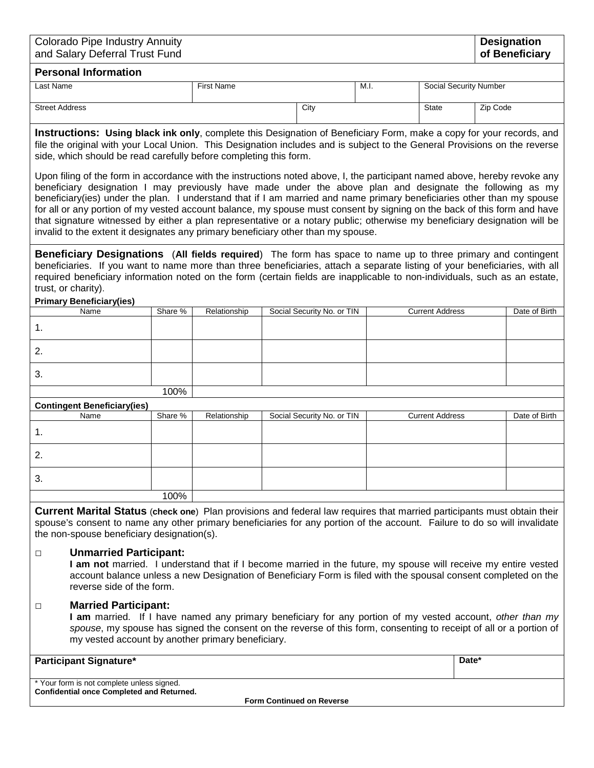| <b>Colorado Pipe Industry Annuity</b><br>and Salary Deferral Trust Fund                                                                                                                                                                                                                                                                                                                                                                                                                                                                                                                                                                                                                                         |         |                   |                            |      |                        |                               |  |  |  |
|-----------------------------------------------------------------------------------------------------------------------------------------------------------------------------------------------------------------------------------------------------------------------------------------------------------------------------------------------------------------------------------------------------------------------------------------------------------------------------------------------------------------------------------------------------------------------------------------------------------------------------------------------------------------------------------------------------------------|---------|-------------------|----------------------------|------|------------------------|-------------------------------|--|--|--|
| <b>Personal Information</b>                                                                                                                                                                                                                                                                                                                                                                                                                                                                                                                                                                                                                                                                                     |         |                   |                            |      |                        |                               |  |  |  |
| Last Name                                                                                                                                                                                                                                                                                                                                                                                                                                                                                                                                                                                                                                                                                                       |         | <b>First Name</b> |                            | M.I. |                        | <b>Social Security Number</b> |  |  |  |
| <b>Street Address</b>                                                                                                                                                                                                                                                                                                                                                                                                                                                                                                                                                                                                                                                                                           |         |                   | City                       |      | <b>State</b>           | Zip Code                      |  |  |  |
| <b>Instructions: Using black ink only</b> , complete this Designation of Beneficiary Form, make a copy for your records, and<br>file the original with your Local Union. This Designation includes and is subject to the General Provisions on the reverse<br>side, which should be read carefully before completing this form.                                                                                                                                                                                                                                                                                                                                                                                 |         |                   |                            |      |                        |                               |  |  |  |
| Upon filing of the form in accordance with the instructions noted above, I, the participant named above, hereby revoke any<br>beneficiary designation I may previously have made under the above plan and designate the following as my<br>beneficiary(ies) under the plan. I understand that if I am married and name primary beneficiaries other than my spouse<br>for all or any portion of my vested account balance, my spouse must consent by signing on the back of this form and have<br>that signature witnessed by either a plan representative or a notary public; otherwise my beneficiary designation will be<br>invalid to the extent it designates any primary beneficiary other than my spouse. |         |                   |                            |      |                        |                               |  |  |  |
| <b>Beneficiary Designations</b> (All fields required) The form has space to name up to three primary and contingent<br>beneficiaries. If you want to name more than three beneficiaries, attach a separate listing of your beneficiaries, with all<br>required beneficiary information noted on the form (certain fields are inapplicable to non-individuals, such as an estate,<br>trust, or charity).                                                                                                                                                                                                                                                                                                         |         |                   |                            |      |                        |                               |  |  |  |
| <b>Primary Beneficiary(ies)</b><br>Name                                                                                                                                                                                                                                                                                                                                                                                                                                                                                                                                                                                                                                                                         | Share % | Relationship      | Social Security No. or TIN |      | <b>Current Address</b> | Date of Birth                 |  |  |  |
| 1.                                                                                                                                                                                                                                                                                                                                                                                                                                                                                                                                                                                                                                                                                                              |         |                   |                            |      |                        |                               |  |  |  |
| 2.                                                                                                                                                                                                                                                                                                                                                                                                                                                                                                                                                                                                                                                                                                              |         |                   |                            |      |                        |                               |  |  |  |
| 3.                                                                                                                                                                                                                                                                                                                                                                                                                                                                                                                                                                                                                                                                                                              |         |                   |                            |      |                        |                               |  |  |  |
| 100%                                                                                                                                                                                                                                                                                                                                                                                                                                                                                                                                                                                                                                                                                                            |         |                   |                            |      |                        |                               |  |  |  |
| <b>Contingent Beneficiary(ies)</b><br>Name                                                                                                                                                                                                                                                                                                                                                                                                                                                                                                                                                                                                                                                                      | Share % | Relationship      | Social Security No. or TIN |      | <b>Current Address</b> | Date of Birth                 |  |  |  |
| 1.                                                                                                                                                                                                                                                                                                                                                                                                                                                                                                                                                                                                                                                                                                              |         |                   |                            |      |                        |                               |  |  |  |
| 2.                                                                                                                                                                                                                                                                                                                                                                                                                                                                                                                                                                                                                                                                                                              |         |                   |                            |      |                        |                               |  |  |  |
| 3.                                                                                                                                                                                                                                                                                                                                                                                                                                                                                                                                                                                                                                                                                                              |         |                   |                            |      |                        |                               |  |  |  |
|                                                                                                                                                                                                                                                                                                                                                                                                                                                                                                                                                                                                                                                                                                                 | 100%    |                   |                            |      |                        |                               |  |  |  |
| <b>Current Marital Status (check one)</b> Plan provisions and federal law requires that married participants must obtain their<br>spouse's consent to name any other primary beneficiaries for any portion of the account. Failure to do so will invalidate<br>the non-spouse beneficiary designation(s).                                                                                                                                                                                                                                                                                                                                                                                                       |         |                   |                            |      |                        |                               |  |  |  |
| <b>Unmarried Participant:</b><br>□<br>I am not married. I understand that if I become married in the future, my spouse will receive my entire vested<br>account balance unless a new Designation of Beneficiary Form is filed with the spousal consent completed on the<br>reverse side of the form.                                                                                                                                                                                                                                                                                                                                                                                                            |         |                   |                            |      |                        |                               |  |  |  |
| <b>Married Participant:</b><br>□<br>I am married. If I have named any primary beneficiary for any portion of my vested account, other than my<br>spouse, my spouse has signed the consent on the reverse of this form, consenting to receipt of all or a portion of<br>my vested account by another primary beneficiary.                                                                                                                                                                                                                                                                                                                                                                                        |         |                   |                            |      |                        |                               |  |  |  |
| <b>Participant Signature*</b>                                                                                                                                                                                                                                                                                                                                                                                                                                                                                                                                                                                                                                                                                   |         |                   |                            |      |                        | Date*                         |  |  |  |
| * Your form is not complete unless signed.<br>Confidential once Completed and Returned.                                                                                                                                                                                                                                                                                                                                                                                                                                                                                                                                                                                                                         |         |                   |                            |      |                        |                               |  |  |  |

**Form Continued on Reverse**